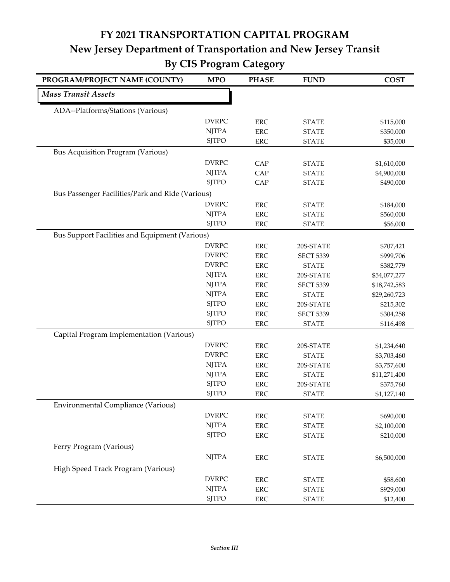## **FY 2021 TRANSPORTATION CAPITAL PROGRAM New Jersey Department of Transportation and New Jersey Transit By CIS Program Category**

| PROGRAM/PROJECT NAME (COUNTY)                    | <b>MPO</b>   | <b>PHASE</b> | <b>FUND</b>      | <b>COST</b>  |
|--------------------------------------------------|--------------|--------------|------------------|--------------|
| <b>Mass Transit Assets</b>                       |              |              |                  |              |
| ADA--Platforms/Stations (Various)                |              |              |                  |              |
|                                                  | <b>DVRPC</b> | <b>ERC</b>   | <b>STATE</b>     | \$115,000    |
|                                                  | <b>NJTPA</b> | <b>ERC</b>   | <b>STATE</b>     | \$350,000    |
|                                                  | <b>SJTPO</b> | <b>ERC</b>   | <b>STATE</b>     | \$35,000     |
| Bus Acquisition Program (Various)                |              |              |                  |              |
|                                                  | <b>DVRPC</b> | CAP          | <b>STATE</b>     | \$1,610,000  |
|                                                  | <b>NJTPA</b> | CAP          | <b>STATE</b>     | \$4,900,000  |
|                                                  | <b>SJTPO</b> | CAP          | <b>STATE</b>     | \$490,000    |
| Bus Passenger Facilities/Park and Ride (Various) |              |              |                  |              |
|                                                  | <b>DVRPC</b> | <b>ERC</b>   | <b>STATE</b>     | \$184,000    |
|                                                  | <b>NJTPA</b> | <b>ERC</b>   | <b>STATE</b>     | \$560,000    |
|                                                  | <b>SJTPO</b> | <b>ERC</b>   | <b>STATE</b>     | \$56,000     |
| Bus Support Facilities and Equipment (Various)   |              |              |                  |              |
|                                                  | <b>DVRPC</b> | <b>ERC</b>   | 20S-STATE        | \$707,421    |
|                                                  | <b>DVRPC</b> | <b>ERC</b>   | <b>SECT 5339</b> | \$999,706    |
|                                                  | <b>DVRPC</b> | <b>ERC</b>   | <b>STATE</b>     | \$382,779    |
|                                                  | <b>NJTPA</b> | <b>ERC</b>   | 20S-STATE        | \$54,077,277 |
|                                                  | <b>NJTPA</b> | <b>ERC</b>   | <b>SECT 5339</b> | \$18,742,583 |
|                                                  | <b>NJTPA</b> | <b>ERC</b>   | <b>STATE</b>     | \$29,260,723 |
|                                                  | <b>SJTPO</b> | <b>ERC</b>   | 20S-STATE        | \$215,302    |
|                                                  | <b>SJTPO</b> | <b>ERC</b>   | <b>SECT 5339</b> | \$304,258    |
|                                                  | <b>SJTPO</b> | <b>ERC</b>   | <b>STATE</b>     | \$116,498    |
| Capital Program Implementation (Various)         |              |              |                  |              |
|                                                  | <b>DVRPC</b> | <b>ERC</b>   | 20S-STATE        | \$1,234,640  |
|                                                  | <b>DVRPC</b> | <b>ERC</b>   | <b>STATE</b>     | \$3,703,460  |
|                                                  | <b>NJTPA</b> | <b>ERC</b>   | 20S-STATE        | \$3,757,600  |
|                                                  | <b>NJTPA</b> | <b>ERC</b>   | <b>STATE</b>     | \$11,271,400 |
|                                                  | <b>SJTPO</b> | <b>ERC</b>   | 20S-STATE        | \$375,760    |
|                                                  | <b>SJTPO</b> | <b>ERC</b>   | <b>STATE</b>     | \$1,127,140  |
| <b>Environmental Compliance (Various)</b>        |              |              |                  |              |
|                                                  | <b>DVRPC</b> | <b>ERC</b>   | <b>STATE</b>     | \$690,000    |
|                                                  | <b>NJTPA</b> | <b>ERC</b>   | <b>STATE</b>     | \$2,100,000  |
|                                                  | <b>SJTPO</b> | <b>ERC</b>   | <b>STATE</b>     | \$210,000    |
| Ferry Program (Various)                          |              |              |                  |              |
|                                                  | <b>NJTPA</b> | <b>ERC</b>   | <b>STATE</b>     | \$6,500,000  |
| High Speed Track Program (Various)               |              |              |                  |              |
|                                                  | <b>DVRPC</b> | <b>ERC</b>   | <b>STATE</b>     | \$58,600     |
|                                                  | <b>NJTPA</b> | <b>ERC</b>   | <b>STATE</b>     | \$929,000    |
|                                                  | <b>SJTPO</b> | ERC          | <b>STATE</b>     | \$12,400     |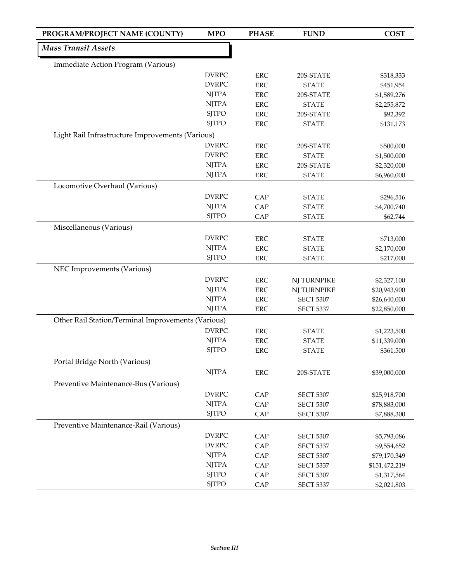| PROGRAM/PROJECT NAME (COUNTY)                      | <b>MPO</b>   | <b>PHASE</b> | <b>FUND</b>                          | <b>COST</b>                 |
|----------------------------------------------------|--------------|--------------|--------------------------------------|-----------------------------|
| <b>Mass Transit Assets</b>                         |              |              |                                      |                             |
| Immediate Action Program (Various)                 |              |              |                                      |                             |
|                                                    | <b>DVRPC</b> | <b>ERC</b>   | 20S-STATE                            | \$318,333                   |
|                                                    | <b>DVRPC</b> | <b>ERC</b>   | <b>STATE</b>                         | \$451,954                   |
|                                                    | <b>NJTPA</b> | <b>ERC</b>   | 20S-STATE                            | \$1,589,276                 |
|                                                    | <b>NJTPA</b> | <b>ERC</b>   | <b>STATE</b>                         | \$2,255,872                 |
|                                                    | <b>SJTPO</b> | <b>ERC</b>   | 20S-STATE                            | \$92,392                    |
|                                                    | <b>SJTPO</b> | ERC          | <b>STATE</b>                         | \$131,173                   |
| Light Rail Infrastructure Improvements (Various)   |              |              |                                      |                             |
|                                                    | <b>DVRPC</b> | <b>ERC</b>   | 20S-STATE                            | \$500,000                   |
|                                                    | <b>DVRPC</b> | <b>ERC</b>   | <b>STATE</b>                         | \$1,500,000                 |
|                                                    | <b>NJTPA</b> | <b>ERC</b>   | 20S-STATE                            | \$2,320,000                 |
|                                                    | <b>NJTPA</b> | <b>ERC</b>   | <b>STATE</b>                         | \$6,960,000                 |
| Locomotive Overhaul (Various)                      |              |              |                                      |                             |
|                                                    | <b>DVRPC</b> | CAP          | <b>STATE</b>                         | \$296,516                   |
|                                                    | <b>NJTPA</b> | CAP          | <b>STATE</b>                         | \$4,700,740                 |
|                                                    | <b>SJTPO</b> | CAP          | <b>STATE</b>                         | \$62,744                    |
| Miscellaneous (Various)                            |              |              |                                      |                             |
|                                                    | <b>DVRPC</b> | <b>ERC</b>   | <b>STATE</b>                         | \$713,000                   |
|                                                    | <b>NJTPA</b> | <b>ERC</b>   | <b>STATE</b>                         | \$2,170,000                 |
|                                                    | <b>SJTPO</b> | <b>ERC</b>   | <b>STATE</b>                         | \$217,000                   |
| NEC Improvements (Various)                         |              |              |                                      |                             |
|                                                    | <b>DVRPC</b> | <b>ERC</b>   | NJ TURNPIKE                          | \$2,327,100                 |
|                                                    | <b>NJTPA</b> | <b>ERC</b>   | NJ TURNPIKE                          | \$20,943,900                |
|                                                    | <b>NJTPA</b> | <b>ERC</b>   | <b>SECT 5307</b>                     | \$26,640,000                |
|                                                    | <b>NJTPA</b> | <b>ERC</b>   | <b>SECT 5337</b>                     | \$22,850,000                |
| Other Rail Station/Terminal Improvements (Various) |              |              |                                      |                             |
|                                                    | <b>DVRPC</b> | <b>ERC</b>   | <b>STATE</b>                         | \$1,223,500                 |
|                                                    | <b>NJTPA</b> | <b>ERC</b>   | <b>STATE</b>                         | \$11,339,000                |
|                                                    | <b>SJTPO</b> | <b>ERC</b>   | <b>STATE</b>                         | \$361,500                   |
| Portal Bridge North (Various)                      |              |              |                                      |                             |
|                                                    | <b>NJTPA</b> | <b>ERC</b>   | 20S-STATE                            | \$39,000,000                |
| Preventive Maintenance-Bus (Various)               |              |              |                                      |                             |
|                                                    | <b>DVRPC</b> | CAP          | <b>SECT 5307</b>                     | \$25,918,700                |
|                                                    | <b>NJTPA</b> | CAP          | <b>SECT 5307</b>                     | \$78,883,000                |
|                                                    | <b>SJTPO</b> | CAP          | <b>SECT 5307</b>                     | \$7,888,300                 |
| Preventive Maintenance-Rail (Various)              |              |              |                                      |                             |
|                                                    | <b>DVRPC</b> |              |                                      |                             |
|                                                    | <b>DVRPC</b> | CAP<br>CAP   | <b>SECT 5307</b><br><b>SECT 5337</b> | \$5,793,086                 |
|                                                    | <b>NJTPA</b> | CAP          | <b>SECT 5307</b>                     | \$9,554,652<br>\$79,170,349 |
|                                                    | <b>NJTPA</b> | CAP          | <b>SECT 5337</b>                     | \$151,472,219               |
|                                                    | <b>SJTPO</b> | CAP          | <b>SECT 5307</b>                     | \$1,317,564                 |
|                                                    | <b>SJTPO</b> | CAP          | <b>SECT 5337</b>                     | \$2,021,803                 |
|                                                    |              |              |                                      |                             |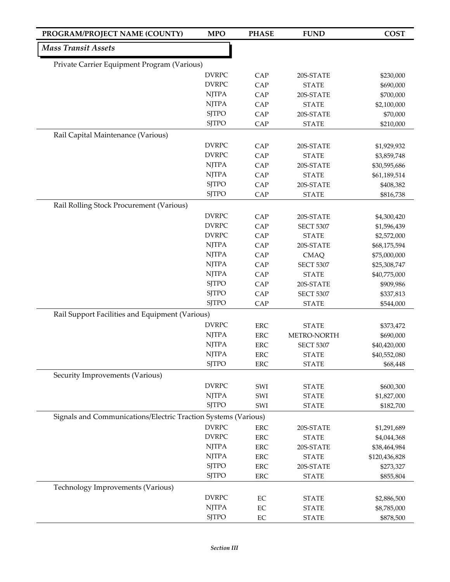| PROGRAM/PROJECT NAME (COUNTY)                                  | <b>MPO</b>                                                            | <b>PHASE</b> | <b>FUND</b>      | <b>COST</b>   |
|----------------------------------------------------------------|-----------------------------------------------------------------------|--------------|------------------|---------------|
| <b>Mass Transit Assets</b>                                     |                                                                       |              |                  |               |
| Private Carrier Equipment Program (Various)                    |                                                                       |              |                  |               |
|                                                                | <b>DVRPC</b>                                                          | CAP          | 20S-STATE        | \$230,000     |
|                                                                | <b>DVRPC</b>                                                          | CAP          | <b>STATE</b>     | \$690,000     |
|                                                                | <b>NJTPA</b>                                                          | CAP          | 20S-STATE        | \$700,000     |
|                                                                | <b>NJTPA</b>                                                          | CAP          | <b>STATE</b>     | \$2,100,000   |
|                                                                | <b>SJTPO</b>                                                          | CAP          | 20S-STATE        | \$70,000      |
|                                                                | <b>SJTPO</b>                                                          | CAP          | <b>STATE</b>     | \$210,000     |
| Rail Capital Maintenance (Various)                             |                                                                       |              |                  |               |
|                                                                | <b>DVRPC</b>                                                          | CAP          | 20S-STATE        | \$1,929,932   |
|                                                                | <b>DVRPC</b>                                                          | CAP          | <b>STATE</b>     | \$3,859,748   |
|                                                                | $\ensuremath{\mathrm{N} \mathrm{J} \mathrm{T} \mathrm{P} \mathrm{A}}$ | CAP          | 20S-STATE        | \$30,595,686  |
|                                                                | <b>NJTPA</b>                                                          | CAP          | <b>STATE</b>     | \$61,189,514  |
|                                                                | <b>SJTPO</b>                                                          | CAP          | 20S-STATE        | \$408,382     |
|                                                                | <b>SJTPO</b>                                                          | CAP          | <b>STATE</b>     | \$816,738     |
| Rail Rolling Stock Procurement (Various)                       |                                                                       |              |                  |               |
|                                                                | <b>DVRPC</b>                                                          | CAP          | 20S-STATE        | \$4,300,420   |
|                                                                | <b>DVRPC</b>                                                          | CAP          | <b>SECT 5307</b> | \$1,596,439   |
|                                                                | <b>DVRPC</b>                                                          | CAP          | <b>STATE</b>     | \$2,572,000   |
|                                                                | <b>NJTPA</b>                                                          | CAP          | 20S-STATE        | \$68,175,594  |
|                                                                | <b>NJTPA</b>                                                          | CAP          | <b>CMAQ</b>      | \$75,000,000  |
|                                                                | <b>NJTPA</b>                                                          | CAP          | <b>SECT 5307</b> | \$25,308,747  |
|                                                                | <b>NJTPA</b>                                                          | CAP          | <b>STATE</b>     | \$40,775,000  |
|                                                                | <b>SJTPO</b>                                                          | CAP          | 20S-STATE        | \$909,986     |
|                                                                | <b>SJTPO</b>                                                          | CAP          | <b>SECT 5307</b> | \$337,813     |
|                                                                | <b>SJTPO</b>                                                          | CAP          | <b>STATE</b>     | \$544,000     |
| Rail Support Facilities and Equipment (Various)                |                                                                       |              |                  |               |
|                                                                | <b>DVRPC</b>                                                          | <b>ERC</b>   | <b>STATE</b>     | \$373,472     |
|                                                                | <b>NJTPA</b>                                                          | ${\rm ERC}$  | METRO-NORTH      | \$690,000     |
|                                                                | <b>NJTPA</b>                                                          | ERC          | <b>SECT 5307</b> | \$40,420,000  |
|                                                                | <b>NJTPA</b>                                                          | ERC          | <b>STATE</b>     | \$40,552,080  |
|                                                                | <b>SJTPO</b>                                                          | ${\rm ERC}$  | <b>STATE</b>     | \$68,448      |
| Security Improvements (Various)                                |                                                                       |              |                  |               |
|                                                                | <b>DVRPC</b>                                                          | SWI          | <b>STATE</b>     | \$600,300     |
|                                                                | <b>NJTPA</b>                                                          | SWI          | <b>STATE</b>     | \$1,827,000   |
|                                                                | <b>SJTPO</b>                                                          | SWI          | <b>STATE</b>     | \$182,700     |
| Signals and Communications/Electric Traction Systems (Various) |                                                                       |              |                  |               |
|                                                                | <b>DVRPC</b>                                                          | ERC          | 20S-STATE        | \$1,291,689   |
|                                                                | <b>DVRPC</b>                                                          | ERC          | <b>STATE</b>     | \$4,044,368   |
|                                                                | <b>NJTPA</b>                                                          | <b>ERC</b>   | 20S-STATE        | \$38,464,984  |
|                                                                | <b>NJTPA</b>                                                          | ERC          | <b>STATE</b>     | \$120,436,828 |
|                                                                | <b>SJTPO</b>                                                          | <b>ERC</b>   | 20S-STATE        | \$273,327     |
|                                                                | <b>SJTPO</b>                                                          | ERC          | <b>STATE</b>     | \$855,804     |
| Technology Improvements (Various)                              |                                                                       |              |                  |               |
|                                                                | <b>DVRPC</b>                                                          | $\rm EC$     | <b>STATE</b>     | \$2,886,500   |
|                                                                | <b>NJTPA</b>                                                          | EC           | <b>STATE</b>     | \$8,785,000   |
|                                                                | <b>SJTPO</b>                                                          | $\rm EC$     | <b>STATE</b>     | \$878,500     |